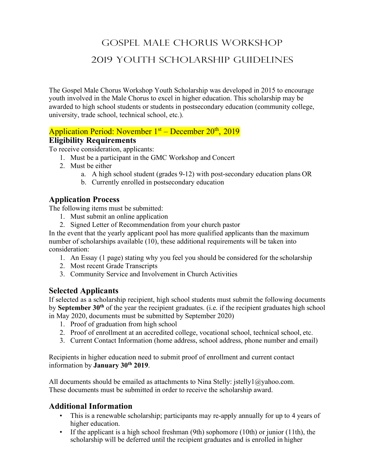# Gospel Male Chorus Workshop 2019 Youth Scholarship Guidelines

The Gospel Male Chorus Workshop Youth Scholarship was developed in 2015 to encourage youth involved in the Male Chorus to excel in higher education. This scholarship may be awarded to high school students or students in postsecondary education (community college, university, trade school, technical school, etc.).

# Application Period: November 1<sup>st</sup> – December 20<sup>th</sup>, 2019

#### **Eligibility Requirements**

To receive consideration, applicants:

- 1. Must be a participant in the GMC Workshop and Concert
- 2. Must be either
	- a. A high school student (grades 9-12) with post-secondary education plans OR
	- b. Currently enrolled in postsecondary education

## **Application Process**

The following items must be submitted:

- 1. Must submit an online application
- 2. Signed Letter of Recommendation from your church pastor

In the event that the yearly applicant pool has more qualified applicants than the maximum number of scholarships available (10), these additional requirements will be taken into consideration:

- 1. An Essay (1 page) stating why you feel you should be considered for the scholarship
- 2. Most recent Grade Transcripts
- 3. Community Service and Involvement in Church Activities

### **Selected Applicants**

If selected as a scholarship recipient, high school students must submit the following documents by **September 30th** of the year the recipient graduates. (i.e. if the recipient graduates high school in May 2020, documents must be submitted by September 2020)

- 1. Proof of graduation from high school
- 2. Proof of enrollment at an accredited college, vocational school, technical school, etc.
- 3. Current Contact Information (home address, school address, phone number and email)

Recipients in higher education need to submit proof of enrollment and current contact information by **January 30th 2019**.

All documents should be emailed as attachments to Nina Stelly: jstelly1@yahoo.com. These documents must be submitted in order to receive the scholarship award.

### **Additional Information**

- This is a renewable scholarship; participants may re-apply annually for up to 4 years of higher education.
- If the applicant is a high school freshman (9th) sophomore (10th) or junior (11th), the scholarship will be deferred until the recipient graduates and is enrolled in higher